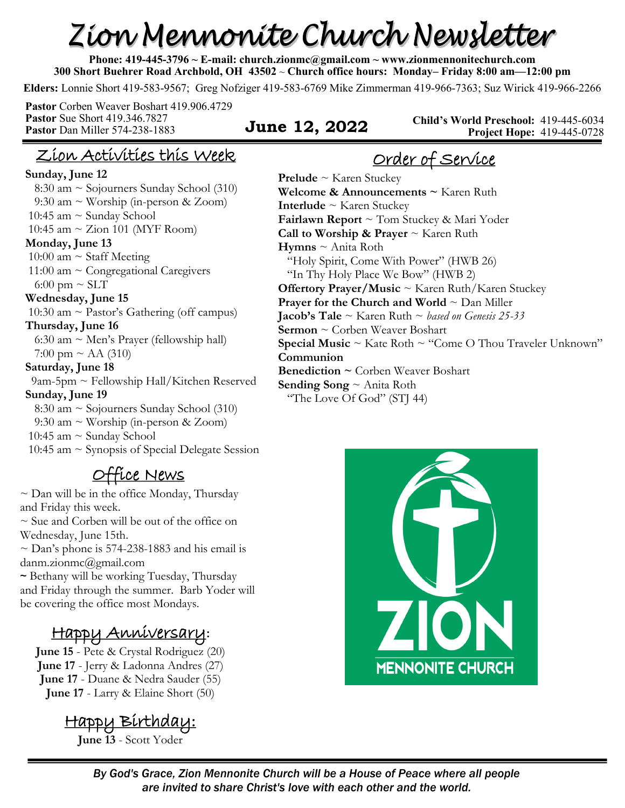# Zion Mennonite Church Newsletter

**Phone: 419-445-3796 ~ E-mail: church.zionmc@gmail.com ~ www.zionmennonitechurch.com 300 Short Buehrer Road Archbold, OH 43502** ~ **Church office hours: Monday– Friday 8:00 am—12:00 pm** 

**Elders:** Lonnie Short 419-583-9567; Greg Nofziger 419-583-6769 Mike Zimmerman 419-966-7363; Suz Wirick 419-966-2266

**Pastor** Corben Weaver Boshart 419.906.4729 **Pastor** Sue Short 419.346.7827 **Pastor** Dan Miller 574-238-1883 **June 12, 2022** 

**Child's World Preschool:** 419-445-6034 **Project Hope:** 419-445-0728

### Zion Activities this Week

#### **Sunday, June 12**

 8:30 am ~ Sojourners Sunday School (310) 9:30 am ~ Worship (in-person & Zoom) 10:45 am  $\sim$  Sunday School 10:45 am  $\sim$  Zion 101 (MYF Room) **Monday, June 13**  10:00 am  $\sim$  Staff Meeting 11:00 am ~ Congregational Caregivers 6:00 pm  $\sim$  SLT **Wednesday, June 15** 10:30 am ~ Pastor's Gathering (off campus) **Thursday, June 16** 6:30 am  $\sim$  Men's Prayer (fellowship hall) 7:00 pm  $\sim$  AA (310) **Saturday, June 18** 9am-5pm ~ Fellowship Hall/Kitchen Reserved **Sunday, June 19**  8:30 am ~ Sojourners Sunday School (310) 9:30 am ~ Worship (in-person & Zoom) 10:45 am  $\sim$  Sunday School 10:45 am  $\sim$  Synopsis of Special Delegate Session

#### Office News

 $\sim$  Dan will be in the office Monday, Thursday and Friday this week.

~ Sue and Corben will be out of the office on Wednesday, June 15th.

 $\sim$  Dan's phone is 574-238-1883 and his email is danm.zionmc@gmail.com

~ Bethany will be working Tuesday, Thursday and Friday through the summer. Barb Yoder will be covering the office most Mondays.

# Happy Anniversary**:**

**June 15** - Pete & Crystal Rodriguez (20) **June 17** - Jerry & Ladonna Andres (27) **June 17** - Duane & Nedra Sauder (55) **June 17** - Larry & Elaine Short (50)

Happy Birthday: **June 13** - Scott Yoder

Order of Service

**Prelude** ~ Karen Stuckey **Welcome & Announcements ~** Karen Ruth **Interlude** ~ Karen Stuckey **Fairlawn Report** ~ Tom Stuckey & Mari Yoder **Call to Worship & Prayer** ~ Karen Ruth **Hymns** ~ Anita Roth "Holy Spirit, Come With Power" (HWB 26) "In Thy Holy Place We Bow" (HWB 2) **Offertory Prayer/Music** ~ Karen Ruth/Karen Stuckey **Prayer for the Church and World** ~ Dan Miller **Jacob's Tale** ~ Karen Ruth ~ *based on Genesis 25-33* **Sermon** ~ Corben Weaver Boshart **Special Music** ~ Kate Roth ~ "Come O Thou Traveler Unknown" **Communion Benediction ~** Corben Weaver Boshart **Sending Song** ~ Anita Roth "The Love Of God" (STJ 44)

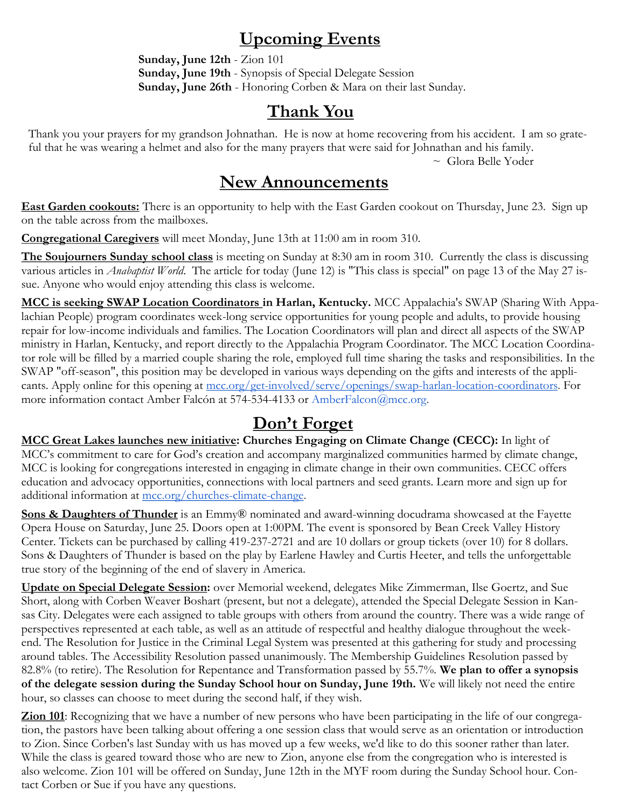#### **Upcoming Events**

**Sunday, June 12th** - Zion 101 **Sunday, June 19th** - Synopsis of Special Delegate Session **Sunday, June 26th** - Honoring Corben & Mara on their last Sunday.

### **Thank You**

Thank you your prayers for my grandson Johnathan. He is now at home recovering from his accident. I am so grateful that he was wearing a helmet and also for the many prayers that were said for Johnathan and his family.

~ Glora Belle Yoder

#### **New Announcements**

**East Garden cookouts:** There is an opportunity to help with the East Garden cookout on Thursday, June 23. Sign up on the table across from the mailboxes.

**Congregational Caregivers** will meet Monday, June 13th at 11:00 am in room 310.

**The Soujourners Sunday school class** is meeting on Sunday at 8:30 am in room 310. Currently the class is discussing various articles in *Anabaptist World*. The article for today (June 12) is "This class is special" on page 13 of the May 27 issue. Anyone who would enjoy attending this class is welcome.

**MCC is seeking SWAP Location Coordinators in Harlan, Kentucky.** MCC Appalachia's SWAP (Sharing With Appalachian People) program coordinates week-long service opportunities for young people and adults, to provide housing repair for low-income individuals and families. The Location Coordinators will plan and direct all aspects of the SWAP ministry in Harlan, Kentucky, and report directly to the Appalachia Program Coordinator. The MCC Location Coordinator role will be filled by a married couple sharing the role, employed full time sharing the tasks and responsibilities. In the SWAP "off-season", this position may be developed in various ways depending on the gifts and interests of the applicants. Apply online for this opening at [mcc.org/get-involved/serve/openings/swap-harlan-location-coordinators.](https://mcc.org/get-involved/serve/openings/swap-harlan-location-coordinators) For more information contact Amber Falcón at 574-534-4133 or AmberFalcon@mcc.org.

## **Don't Forget**

**MCC Great Lakes launches new initiative: Churches Engaging on Climate Change (CECC):** In light of MCC's commitment to care for God's creation and accompany marginalized communities harmed by climate change, MCC is looking for congregations interested in engaging in climate change in their own communities. CECC offers education and advocacy opportunities, connections with local partners and seed grants. Learn more and sign up for additional information at [mcc.org/churches-climate-change.](https://mcc.org/stories/churches-engaging-climate-change-congregaciones-envueltas)

**Sons & Daughters of Thunder** is an Emmy® nominated and award-winning docudrama showcased at the Fayette Opera House on Saturday, June 25. Doors open at 1:00PM. The event is sponsored by Bean Creek Valley History Center. Tickets can be purchased by calling 419-237-2721 and are 10 dollars or group tickets (over 10) for 8 dollars. Sons & Daughters of Thunder is based on the play by Earlene Hawley and Curtis Heeter, and tells the unforgettable true story of the beginning of the end of slavery in America.

**Update on Special Delegate Session:** over Memorial weekend, delegates Mike Zimmerman, Ilse Goertz, and Sue Short, along with Corben Weaver Boshart (present, but not a delegate), attended the Special Delegate Session in Kansas City. Delegates were each assigned to table groups with others from around the country. There was a wide range of perspectives represented at each table, as well as an attitude of respectful and healthy dialogue throughout the weekend. The Resolution for Justice in the Criminal Legal System was presented at this gathering for study and processing around tables. The Accessibility Resolution passed unanimously. The Membership Guidelines Resolution passed by 82.8% (to retire). The Resolution for Repentance and Transformation passed by 55.7%. **We plan to offer a synopsis of the delegate session during the Sunday School hour on Sunday, June 19th.** We will likely not need the entire hour, so classes can choose to meet during the second half, if they wish.

**Zion 101**: Recognizing that we have a number of new persons who have been participating in the life of our congregation, the pastors have been talking about offering a one session class that would serve as an orientation or introduction to Zion. Since Corben's last Sunday with us has moved up a few weeks, we'd like to do this sooner rather than later. While the class is geared toward those who are new to Zion, anyone else from the congregation who is interested is also welcome. Zion 101 will be offered on Sunday, June 12th in the MYF room during the Sunday School hour. Contact Corben or Sue if you have any questions.